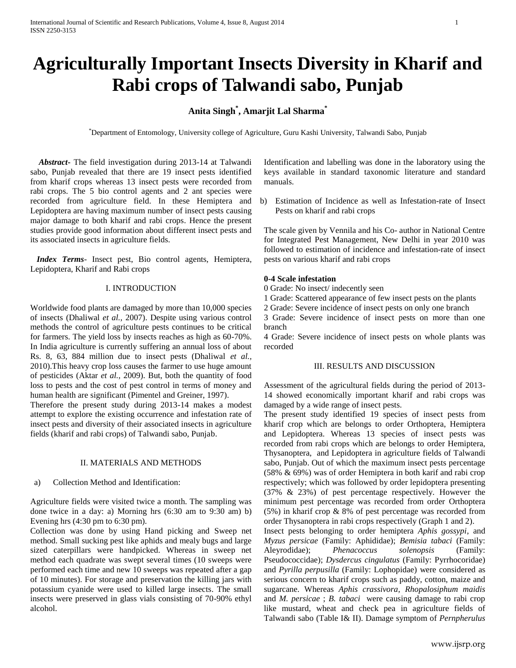# **Agriculturally Important Insects Diversity in Kharif and Rabi crops of Talwandi sabo, Punjab**

# **Anita Singh\* , Amarjit Lal Sharma\***

\*Department of Entomology, University college of Agriculture, Guru Kashi University, Talwandi Sabo, Punjab

 *Abstract***-** The field investigation during 2013-14 at Talwandi sabo, Punjab revealed that there are 19 insect pests identified from kharif crops whereas 13 insect pests were recorded from rabi crops. The 5 bio control agents and 2 ant species were recorded from agriculture field. In these Hemiptera and Lepidoptera are having maximum number of insect pests causing major damage to both kharif and rabi crops. Hence the present studies provide good information about different insect pests and its associated insects in agriculture fields.

 *Index Terms*- Insect pest, Bio control agents, Hemiptera, Lepidoptera, Kharif and Rabi crops

# I. INTRODUCTION

Worldwide food plants are damaged by more than 10,000 species of insects (Dhaliwal *et al.,* 2007). Despite using various control methods the control of agriculture pests continues to be critical for farmers. The yield loss by insects reaches as high as 60-70%. In India agriculture is currently suffering an annual loss of about Rs. 8, 63, 884 million due to insect pests (Dhaliwal *et al.,*  2010).This heavy crop loss causes the farmer to use huge amount of pesticides (Aktar *et al.,* 2009). But, both the quantity of food loss to pests and the cost of pest control in terms of money and human health are significant (Pimentel and Greiner, 1997).

Therefore the present study during 2013-14 makes a modest attempt to explore the existing occurrence and infestation rate of insect pests and diversity of their associated insects in agriculture fields (kharif and rabi crops) of Talwandi sabo, Punjab.

#### II. MATERIALS AND METHODS

a) Collection Method and Identification:

Agriculture fields were visited twice a month. The sampling was done twice in a day: a) Morning hrs (6:30 am to 9:30 am) b) Evening hrs (4:30 pm to 6:30 pm).

Collection was done by using Hand picking and Sweep net method. Small sucking pest like aphids and mealy bugs and large sized caterpillars were handpicked. Whereas in sweep net method each quadrate was swept several times (10 sweeps were performed each time and new 10 sweeps was repeated after a gap of 10 minutes). For storage and preservation the killing jars with potassium cyanide were used to killed large insects. The small insects were preserved in glass vials consisting of 70-90% ethyl alcohol.

Identification and labelling was done in the laboratory using the keys available in standard taxonomic literature and standard manuals.

b) Estimation of Incidence as well as Infestation-rate of Insect Pests on kharif and rabi crops

The scale given by Vennila and his Co- author in National Centre for Integrated Pest Management, New Delhi in year 2010 was followed to estimation of incidence and infestation-rate of insect pests on various kharif and rabi crops

#### **0-4 Scale infestation**

0 Grade: No insect/ indecently seen

1 Grade: Scattered appearance of few insect pests on the plants

2 Grade: Severe incidence of insect pests on only one branch

3 Grade: Severe incidence of insect pests on more than one branch

4 Grade: Severe incidence of insect pests on whole plants was recorded

### III. RESULTS AND DISCUSSION

Assessment of the agricultural fields during the period of 2013- 14 showed economically important kharif and rabi crops was damaged by a wide range of insect pests.

The present study identified 19 species of insect pests from kharif crop which are belongs to order Orthoptera, Hemiptera and Lepidoptera. Whereas 13 species of insect pests was recorded from rabi crops which are belongs to order Hemiptera, Thysanoptera, and Lepidoptera in agriculture fields of Talwandi sabo, Punjab. Out of which the maximum insect pests percentage (58% & 69%) was of order Hemiptera in both karif and rabi crop respectively; which was followed by order lepidoptera presenting (37% & 23%) of pest percentage respectively. However the minimum pest percentage was recorded from order Orthoptera (5%) in kharif crop & 8% of pest percentage was recorded from order Thysanoptera in rabi crops respectively (Graph 1 and 2).

Insect pests belonging to order hemiptera *Aphis gossypi*, and *Myzus persicae* (Family: Aphididae); *Bemisia tabaci* (Family: Aleyrodidae); *Phenacoccus solenopsis* (Family: Pseudococcidae); *Dysdercus cingulatus* (Family: Pyrrhocoridae) and *Pyrilla perpusilla* (Family: Lophopidae) were considered as serious concern to kharif crops such as paddy, cotton, maize and sugarcane. Whereas *Aphis crassivora, Rhopalosiphum maidis*  and *M. persicae* ; *B. tabaci* were causing damage to rabi crop like mustard, wheat and check pea in agriculture fields of Talwandi sabo (Table I& II). Damage symptom of *Pernpherulus*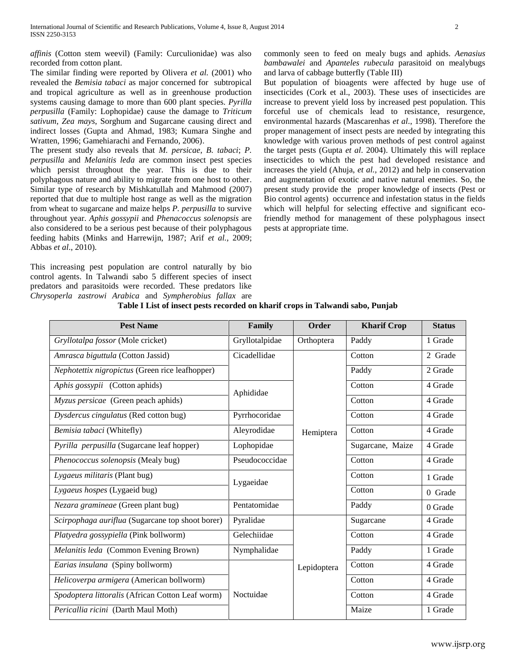*affinis* (Cotton stem weevil) (Family: Curculionidae) was also recorded from cotton plant.

The similar finding were reported by Olivera *et al.* (2001) who revealed the *Bemisia tabaci* as major concerned for subtropical and tropical agriculture as well as in greenhouse production systems causing damage to more than 600 plant species. *Pyrilla perpusilla* (Family: Lophopidae) cause the damage to *Triticum sativum*, *Zea mays*, Sorghum and Sugarcane causing direct and indirect losses (Gupta and Ahmad, 1983; Kumara Singhe and Wratten, 1996; Gamehiarachi and Fernando, 2006).

The present study also reveals that *M. persicae*, *B. tabaci*; *P. perpusilla* and *Melanitis leda* are common insect pest species which persist throughout the year. This is due to their polyphagous nature and ability to migrate from one host to other. Similar type of research by Mishkatullah and Mahmood (2007) reported that due to multiple host range as well as the migration from wheat to sugarcane and maize helps *P. perpusilla* to survive throughout year. *Aphis gossypii* and *Phenacoccus solenopsis* are also considered to be a serious pest because of their polyphagous feeding habits (Minks and Harrewijn, 1987; Arif *et al.,* 2009; Abbas *et al*., 2010).

This increasing pest population are control naturally by bio control agents. In Talwandi sabo 5 different species of insect predators and parasitoids were recorded. These predators like *Chrysoperla zastrowi Arabica* and *Sympherobius fallax* are commonly seen to feed on mealy bugs and aphids. *Aenasius bambawalei* and *Apanteles rubecula* parasitoid on mealybugs and larva of cabbage butterfly (Table III)

But population of bioagents were affected by huge use of insecticides (Cork et al., 2003). These uses of insecticides are increase to prevent yield loss by increased pest population. This forceful use of chemicals lead to resistance, resurgence, environmental hazards (Mascarenhas *et al*., 1998). Therefore the proper management of insect pests are needed by integrating this knowledge with various proven methods of pest control against the target pests (Gupta *et al*. 2004). Ultimately this will replace insecticides to which the pest had developed resistance and increases the yield (Ahuja, *et al.,* 2012) and help in conservation and augmentation of exotic and native natural enemies. So, the present study provide the proper knowledge of insects (Pest or Bio control agents) occurrence and infestation status in the fields which will helpful for selecting effective and significant ecofriendly method for management of these polyphagous insect pests at appropriate time.

| <b>Pest Name</b>                                 | Family         | Order       | <b>Kharif Crop</b> | <b>Status</b> |
|--------------------------------------------------|----------------|-------------|--------------------|---------------|
| Gryllotalpa fossor (Mole cricket)                | Gryllotalpidae | Orthoptera  | Paddy              | 1 Grade       |
| Amrasca biguttula (Cotton Jassid)                | Cicadellidae   |             | Cotton             | 2 Grade       |
| Nephotettix nigropictus (Green rice leafhopper)  |                |             | Paddy              | 2 Grade       |
| Aphis gossypii (Cotton aphids)                   | Aphididae      |             | Cotton             | 4 Grade       |
| Myzus persicae (Green peach aphids)              |                | Hemiptera   | Cotton             | 4 Grade       |
| Dysdercus cingulatus (Red cotton bug)            | Pyrrhocoridae  |             | Cotton             | 4 Grade       |
| Bemisia tabaci (Whitefly)                        | Aleyrodidae    |             | Cotton             | 4 Grade       |
| Pyrilla perpusilla (Sugarcane leaf hopper)       | Lophopidae     |             | Sugarcane, Maize   | 4 Grade       |
| Phenococcus solenopsis (Mealy bug)               | Pseudococcidae |             | Cotton             | 4 Grade       |
| Lygaeus militaris (Plant bug)                    | Lygaeidae      |             | Cotton             | 1 Grade       |
| Lygaeus hospes (Lygaeid bug)                     |                |             | Cotton             | 0 Grade       |
| Nezara gramineae (Green plant bug)               | Pentatomidae   |             | Paddy              | 0 Grade       |
| Scirpophaga auriflua (Sugarcane top shoot borer) | Pyralidae      |             | Sugarcane          | 4 Grade       |
| Platyedra gossypiella (Pink bollworm)            | Gelechiidae    | Lepidoptera | Cotton             | 4 Grade       |
| Melanitis leda (Common Evening Brown)            | Nymphalidae    |             | Paddy              | 1 Grade       |
| Earias insulana (Spiny bollworm)                 |                |             | Cotton             | 4 Grade       |
| Helicoverpa armigera (American bollworm)         |                |             | Cotton             | 4 Grade       |
| Spodoptera littoralis (African Cotton Leaf worm) | Noctuidae      |             | Cotton             | 4 Grade       |
| Pericallia ricini (Darth Maul Moth)              |                |             | Maize              | 1 Grade       |

**Table I List of insect pests recorded on kharif crops in Talwandi sabo, Punjab**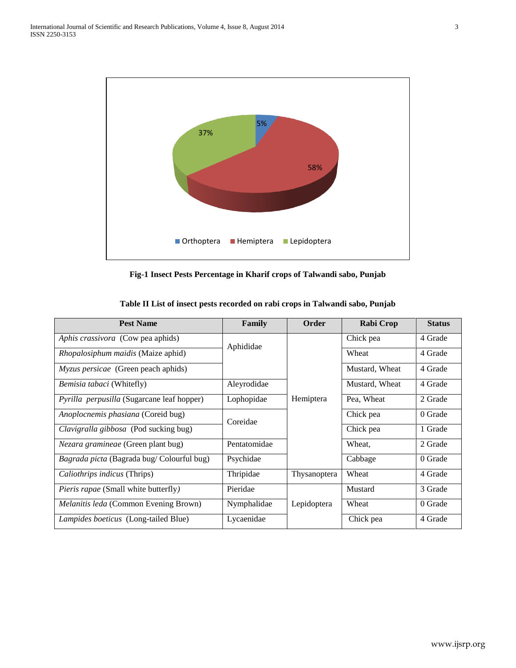

**Fig-1 Insect Pests Percentage in Kharif crops of Talwandi sabo, Punjab**

| <b>Pest Name</b>                            | Family       | Order        | Rabi Crop      | <b>Status</b> |
|---------------------------------------------|--------------|--------------|----------------|---------------|
| Aphis crassivora (Cow pea aphids)           | Aphididae    |              | Chick pea      | 4 Grade       |
| <i>Rhopalosiphum maidis</i> (Maize aphid)   |              |              | Wheat          | 4 Grade       |
| Myzus persicae (Green peach aphids)         |              |              | Mustard, Wheat | 4 Grade       |
| <i>Bemisia tabaci</i> (Whitefly)            | Aleyrodidae  |              | Mustard, Wheat | 4 Grade       |
| Pyrilla perpusilla (Sugarcane leaf hopper)  | Lophopidae   | Hemiptera    | Pea, Wheat     | 2 Grade       |
| Anoplocnemis phasiana (Coreid bug)          | Coreidae     |              | Chick pea      | 0 Grade       |
| Clavigralla gibbosa (Pod sucking bug)       |              |              | Chick pea      | 1 Grade       |
| Nezara gramineae (Green plant bug)          | Pentatomidae |              | Wheat.         | 2 Grade       |
| Bagrada picta (Bagrada bug/ Colourful bug)  | Psychidae    |              | Cabbage        | 0 Grade       |
| Caliothrips indicus (Thrips)                | Thripidae    | Thysanoptera | Wheat          | 4 Grade       |
| Pieris rapae (Small white butterfly)        | Pieridae     |              | Mustard        | 3 Grade       |
| Melanitis leda (Common Evening Brown)       | Nymphalidae  | Lepidoptera  | Wheat          | 0 Grade       |
| <i>Lampides boeticus</i> (Long-tailed Blue) | Lycaenidae   |              | Chick pea      | 4 Grade       |

**Table II List of insect pests recorded on rabi crops in Talwandi sabo, Punjab**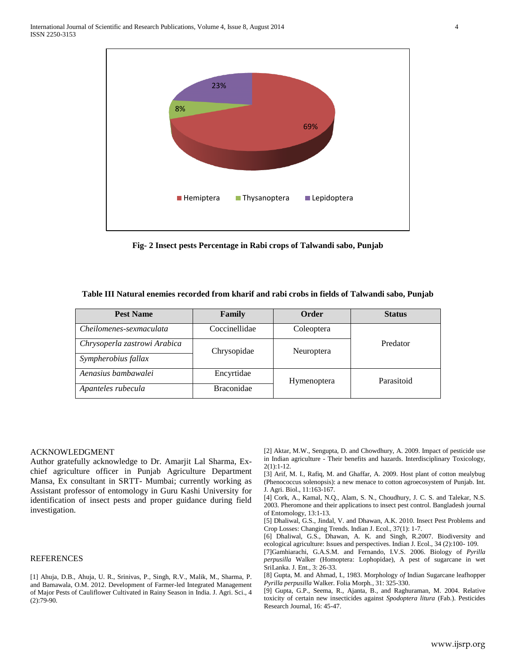

**Fig- 2 Insect pests Percentage in Rabi crops of Talwandi sabo, Punjab**

## **Table III Natural enemies recorded from kharif and rabi crobs in fields of Talwandi sabo, Punjab**

| <b>Pest Name</b>             | Family            | Order       | <b>Status</b> |  |
|------------------------------|-------------------|-------------|---------------|--|
| Cheilomenes-sexmaculata      | Coccinellidae     | Coleoptera  |               |  |
| Chrysoperla zastrowi Arabica | Chrysopidae       | Neuroptera  | Predator      |  |
| Sympherobius fallax          |                   |             |               |  |
| Aenasius bambawalei          | Encyrtidae        | Hymenoptera | Parasitoid    |  |
| Apanteles rubecula           | <b>Braconidae</b> |             |               |  |

#### ACKNOWLEDGMENT

Author gratefully acknowledge to Dr. Amarjit Lal Sharma, Exchief agriculture officer in Punjab Agriculture Department Mansa, Ex consultant in SRTT- Mumbai; currently working as Assistant professor of entomology in Guru Kashi University for identification of insect pests and proper guidance during field investigation.

#### **REFERENCES**

[1] Ahuja, D.B., Ahuja, U. R., Srinivas, P., Singh, R.V., Malik, M., Sharma, P. and Bamawala, O.M. 2012. Development of Farmer-led Integrated Management of Major Pests of Cauliflower Cultivated in Rainy Season in India. J. Agri. Sci., 4 (2):79-90.

[2] Aktar, M.W., Sengupta, D. and Chowdhury, A. 2009. Impact of pesticide use in Indian agriculture - Their benefits and hazards. Interdisciplinary Toxicology, 2(1):1-12.

[3] Arif, M. I., Rafiq, M. and Ghaffar, A. 2009. Host plant of cotton mealybug (Phenococcus solenopsis): a new menace to cotton agroecosystem of Punjab. Int. J. Agri. Biol., 11:163-167.

[4] Cork, A., Kamal, N.Q., Alam, S. N., Choudhury, J. C. S. and Talekar, N.S. 2003. Pheromone and their applications to insect pest control. Bangladesh journal of Entomology, 13:1-13.

[5] Dhaliwal, G.S., Jindal, V. and Dhawan, A.K. 2010. Insect Pest Problems and Crop Losses: Changing Trends. Indian J. Ecol., 37(1): 1-7.

[6] Dhaliwal, G.S., Dhawan, A. K. and Singh, R.2007. Biodiversity and ecological agriculture: Issues and perspectives. Indian J. Ecol., 34 (2):100- 109.

[7]Gamhiarachi, G.A.S.M. and Fernando, I.V.S. 2006. Biology of *Pyrilla perpusilla* Walker (Homoptera: Lophopidae), A pest of sugarcane in wet SriLanka. J. Ent., 3: 26-33.

[8] Gupta, M. and Ahmad, I., 1983. Morphology *of* Indian Sugarcane leafhopper *Pyrilla perpusilla* Walker. Folia Morph*.,* 31: 325-330.

[9] Gupta, G.P., Seema, R., Ajanta, B., and Raghuraman, M. 2004. Relative toxicity of certain new insecticides against *Spodoptera litura* (Fab.). Pesticides Research Journal, 16: 45-47.